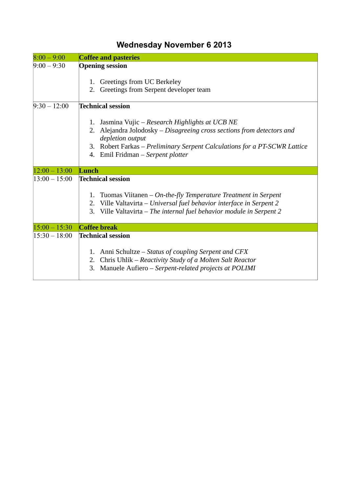## **Wednesday November 6 2013**

| $8:00 - 9:00$   | <b>Coffee and pasteries</b>                                                                                                                                                                                                                                            |
|-----------------|------------------------------------------------------------------------------------------------------------------------------------------------------------------------------------------------------------------------------------------------------------------------|
| $9:00 - 9:30$   | <b>Opening session</b>                                                                                                                                                                                                                                                 |
|                 | 1. Greetings from UC Berkeley<br>2. Greetings from Serpent developer team                                                                                                                                                                                              |
| $9:30 - 12:00$  | <b>Technical session</b>                                                                                                                                                                                                                                               |
|                 | Jasmina Vujic – Research Highlights at UCB NE<br>1.<br>Alejandra Jolodosky - Disagreeing cross sections from detectors and<br>2.<br>depletion output<br>3. Robert Farkas – Preliminary Serpent Calculations for a PT-SCWR Lattice<br>4. Emil Fridman - Serpent plotter |
| $12:00 - 13:00$ | Lunch                                                                                                                                                                                                                                                                  |
| $13:00 - 15:00$ | <b>Technical session</b>                                                                                                                                                                                                                                               |
|                 | Tuomas Viitanen – On-the-fly Temperature Treatment in Serpent<br>1.<br>Ville Valtavirta – Universal fuel behavior interface in Serpent 2<br>2.<br>Ville Valtavirta - The internal fuel behavior module in Serpent 2<br>3.                                              |
| $15:00 - 15:30$ | <b>Coffee break</b>                                                                                                                                                                                                                                                    |
| $15:30 - 18:00$ | <b>Technical session</b>                                                                                                                                                                                                                                               |
|                 | Anni Schultze – Status of coupling Serpent and CFX<br>1.<br>Chris Uhlik – Reactivity Study of a Molten Salt Reactor<br>2.<br>Manuele Aufiero - Serpent-related projects at POLIMI<br>З.                                                                                |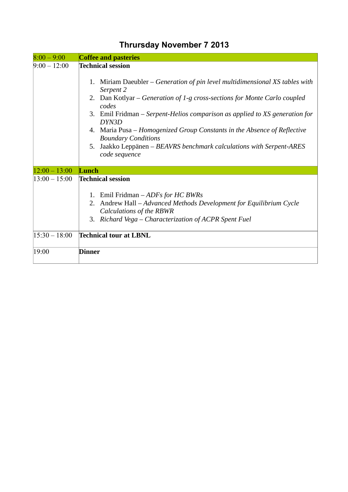| $8:00 - 9:00$   | <b>Coffee and pasteries</b>                                                                            |
|-----------------|--------------------------------------------------------------------------------------------------------|
| $9:00 - 12:00$  | <b>Technical session</b>                                                                               |
|                 | Miriam Daeubler $-$ Generation of pin level multidimensional XS tables with<br>1.<br>Serpent 2         |
|                 | 2. Dan Kotlyar – Generation of 1-g cross-sections for Monte Carlo coupled<br>codes                     |
|                 | 3. Emil Fridman – Serpent-Helios comparison as applied to XS generation for<br>DYN3D                   |
|                 | 4. Maria Pusa – Homogenized Group Constants in the Absence of Reflective<br><b>Boundary Conditions</b> |
|                 | Jaakko Leppänen – BEAVRS benchmark calculations with Serpent-ARES<br>5.<br>code sequence               |
| $12:00 - 13:00$ | Lunch                                                                                                  |
| $13:00 - 15:00$ | <b>Technical session</b>                                                                               |
|                 | 1. Emil Fridman - ADFs for HC BWRs                                                                     |
|                 | Andrew Hall - Advanced Methods Development for Equilibrium Cycle<br>2.                                 |
|                 | Calculations of the RBWR                                                                               |
|                 | 3. Richard Vega – Characterization of ACPR Spent Fuel                                                  |
| $15:30 - 18:00$ | <b>Technical tour at LBNL</b>                                                                          |
| 19:00           | <b>Dinner</b>                                                                                          |

## **Thrursday November 7 2013**